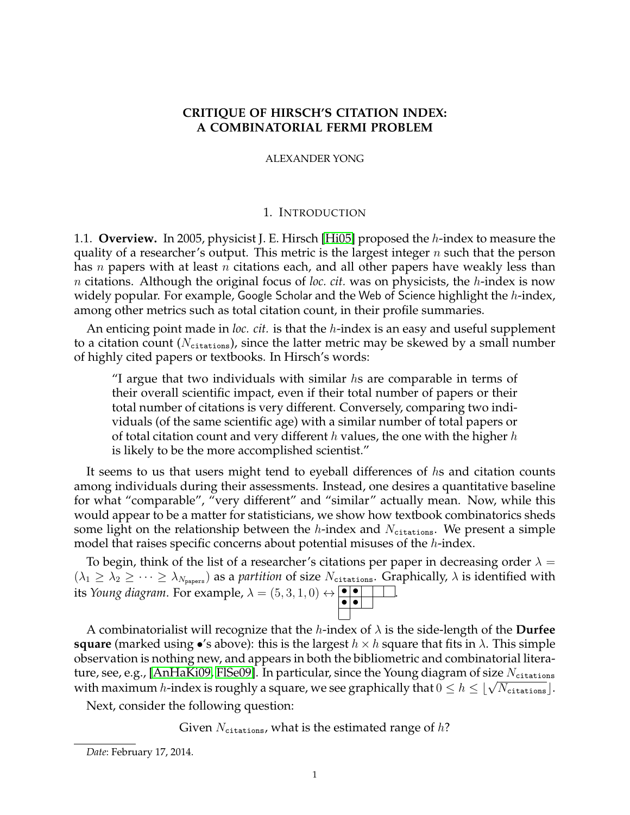## **CRITIQUE OF HIRSCH'S CITATION INDEX: A COMBINATORIAL FERMI PROBLEM**

ALEXANDER YONG

### 1. INTRODUCTION

1.1. **Overview.** In 2005, physicist J. E. Hirsch [\[Hi05\]](#page-9-0) proposed the h-index to measure the quality of a researcher's output. This metric is the largest integer  $n$  such that the person has n papers with at least n citations each, and all other papers have weakly less than n citations. Although the original focus of *loc. cit.* was on physicists, the h-index is now widely popular. For example, Google Scholar and the Web of Science highlight the h-index, among other metrics such as total citation count, in their profile summaries.

An enticing point made in *loc. cit.* is that the h-index is an easy and useful supplement to a citation count ( $N_{\text{citations}}$ ), since the latter metric may be skewed by a small number of highly cited papers or textbooks. In Hirsch's words:

 $\gamma$  argue that two individuals with similar hs are comparable in terms of their overall scientific impact, even if their total number of papers or their total number of citations is very different. Conversely, comparing two individuals (of the same scientific age) with a similar number of total papers or of total citation count and very different h values, the one with the higher h is likely to be the more accomplished scientist."

It seems to us that users might tend to eyeball differences of hs and citation counts among individuals during their assessments. Instead, one desires a quantitative baseline for what "comparable", "very different" and "similar" actually mean. Now, while this would appear to be a matter for statisticians, we show how textbook combinatorics sheds some light on the relationship between the h-index and  $N_{\text{citations}}$ . We present a simple model that raises specific concerns about potential misuses of the *h*-index.

To begin, think of the list of a researcher's citations per paper in decreasing order  $\lambda =$  $(\lambda_1 \geq \lambda_2 \geq \cdots \geq \lambda_{N_{\text{paper}}})$  as a *partition* of size  $N_{\text{citations}}$ . Graphically,  $\lambda$  is identified with its *Young diagram*. For example,  $\lambda = (5, 3, 1, 0) \leftrightarrow \bullet \bullet \bullet$ .

A combinatorialist will recognize that the h-index of λ is the side-length of the **Durfee square** (marked using •'s above): this is the largest  $h \times h$  square that fits in  $\lambda$ . This simple observation is nothing new, and appears in both the bibliometric and combinatorial litera-ture, see, e.g., [\[AnHaKi09,](#page-9-1) [FlSe09\]](#page-9-2). In particular, since the Young diagram of size  $N_{\text{citations}}$ ture, see, e.g., [AnriaKio'', Fibeo''). In particular, since the foung diagram of size *N* citations<br>with maximum *h*-index is roughly a square, we see graphically that  $0 \le h \le \lfloor \sqrt{N_{\text{citations}}}\rfloor$ .

Next, consider the following question:

Given  $N_{\text{citations}}$ , what is the estimated range of h?

*Date*: February 17, 2014.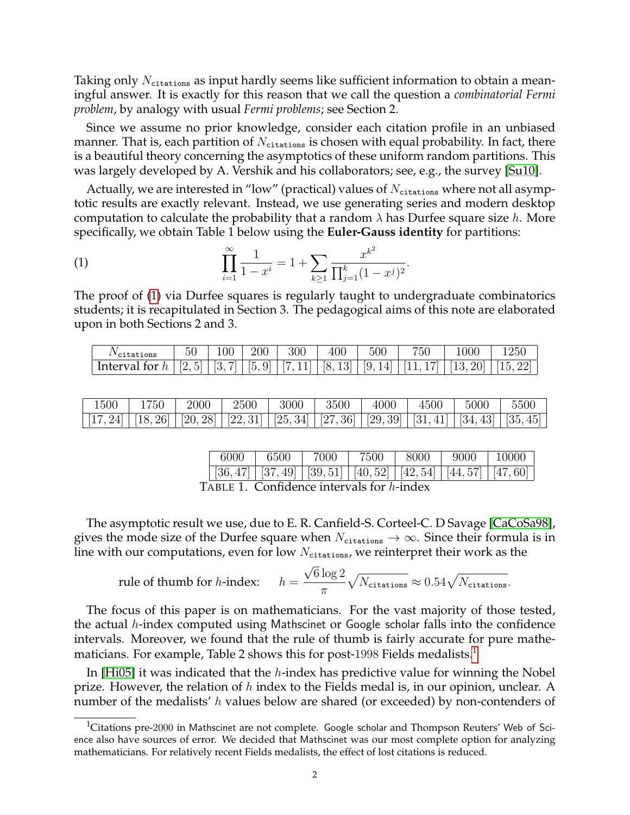Taking only  $N_{\text{citations}}$  as input hardly seems like sufficient information to obtain a meaningful answer. It is exactly for this reason that we call the question a *combinatorial Fermi problem*, by analogy with usual *Fermi problems*; see Section 2.

Since we assume no prior knowledge, consider each citation profile in an unbiased manner. That is, each partition of  $N_{\text{citations}}$  is chosen with equal probability. In fact, there is a beautiful theory concerning the asymptotics of these uniform random partitions. This was largely developed by A. Vershik and his collaborators; see, e.g., the survey [\[Su10\]](#page-9-3).

Actually, we are interested in "low" (practical) values of  $N_{\text{citations}}$  where not all asymptotic results are exactly relevant. Instead, we use generating series and modern desktop computation to calculate the probability that a random  $\lambda$  has Durfee square size h. More specifically, we obtain Table 1 below using the **Euler-Gauss identity** for partitions:

<span id="page-1-0"></span>(1) 
$$
\prod_{i=1}^{\infty} \frac{1}{1-x^i} = 1 + \sum_{k \ge 1} \frac{x^{k^2}}{\prod_{j=1}^k (1-x^j)^2}.
$$

The proof of [\(1\)](#page-1-0) via Durfee squares is regularly taught to undergraduate combinatorics students; it is recapitulated in Section 3. The pedagogical aims of this note are elaborated upon in both Sections 2 and 3.

| 'citations                                                                                                 | 100 | 200 | 300 | 400 | 500 | 750 | 1000 | 250 |
|------------------------------------------------------------------------------------------------------------|-----|-----|-----|-----|-----|-----|------|-----|
| Interval for $h   [2, 5]   [3, 7]   [5, 9]   [7, 11]   [8, 13]   [9, 14]   [11, 17]   [13, 20]   [15, 22]$ |     |     |     |     |     |     |      |     |

| $1500\,$ | 1750                                                                                                          | 2000 | 2500 | 3000 | 3500 | 4000 | 4500 | 5000 | 5500 |
|----------|---------------------------------------------------------------------------------------------------------------|------|------|------|------|------|------|------|------|
|          | $[17, 24]$ $[18, 26]$ $[20, 28]$ $[22, 31]$ $[25, 34]$ $[27, 36]$ $[29, 39]$ $[31, 41]$ $[34, 43]$ $[35, 45]$ |      |      |      |      |      |      |      |      |

| 6000         | $\frac{1}{6500}$ 7000                                                        | 7500 | $\vert$ 8000 $\vert$ 9000 $\vert$ 10000 |  |
|--------------|------------------------------------------------------------------------------|------|-----------------------------------------|--|
|              | $[36, 47]$ $[37, 49]$ $[39, 51]$ $[40, 52]$ $[42, 54]$ $[44, 57]$ $[47, 60]$ |      |                                         |  |
| ┳. _ _ _ _ 1 |                                                                              |      |                                         |  |

TABLE 1. Confidence intervals for h-index

The asymptotic result we use, due to E. R. Canfield-S. Corteel-C. D Savage [\[CaCoSa98\]](#page-9-4), gives the mode size of the Durfee square when  $N_{\text{citations}} \to \infty$ . Since their formula is in line with our computations, even for low  $N_{\text{citations}}$ , we reinterpret their work as the

rule of thumb for *h*-index: 
$$
h = \frac{\sqrt{6} \log 2}{\pi} \sqrt{N_{\text{citations}}} \approx 0.54 \sqrt{N_{\text{citations}}}.
$$

The focus of this paper is on mathematicians. For the vast majority of those tested, the actual h-index computed using Mathscinet or Google scholar falls into the confidence intervals. Moreover, we found that the rule of thumb is fairly accurate for pure mathe-maticians. For example, Table 2 shows this for post-[1](#page-1-1)998 Fields medalists.<sup>1</sup>

In [\[Hi05\]](#page-9-0) it was indicated that the  $h$ -index has predictive value for winning the Nobel prize. However, the relation of  $h$  index to the Fields medal is, in our opinion, unclear. A number of the medalists'  $h$  values below are shared (or exceeded) by non-contenders of

<span id="page-1-1"></span><sup>&</sup>lt;sup>1</sup>Citations pre-2000 in Mathscinet are not complete. Google scholar and Thompson Reuters' Web of Science also have sources of error. We decided that Mathscinet was our most complete option for analyzing mathematicians. For relatively recent Fields medalists, the effect of lost citations is reduced.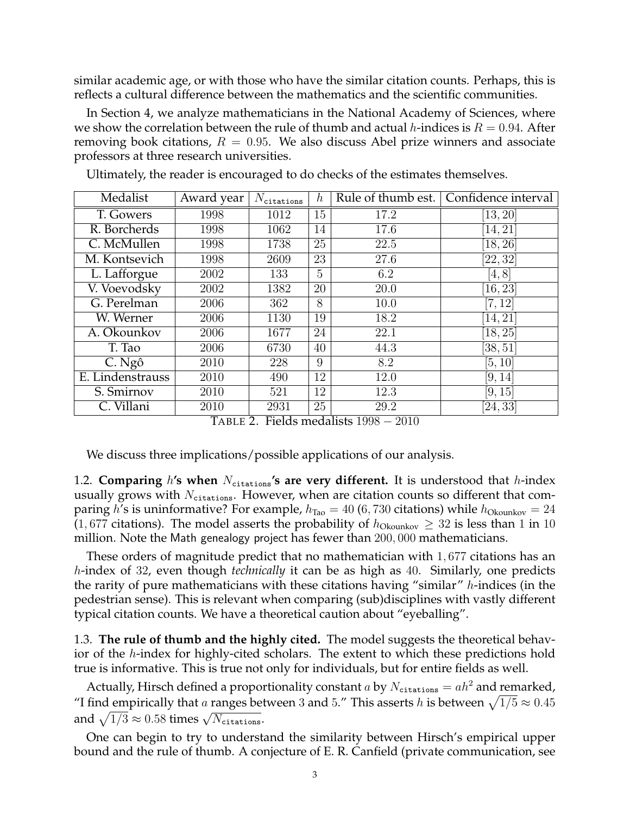similar academic age, or with those who have the similar citation counts. Perhaps, this is reflects a cultural difference between the mathematics and the scientific communities.

In Section 4, we analyze mathematicians in the National Academy of Sciences, where we show the correlation between the rule of thumb and actual h-indices is  $R = 0.94$ . After removing book citations,  $R = 0.95$ . We also discuss Abel prize winners and associate professors at three research universities.

| Medalist         | Award year | $N_{\texttt{citations}}$ | $\boldsymbol{h}$ |      | Rule of thumb est.   Confidence interval |
|------------------|------------|--------------------------|------------------|------|------------------------------------------|
| T. Gowers        | 1998       | 1012                     | 15               | 17.2 | [13, 20]                                 |
| R. Borcherds     | 1998       | 1062                     | 14               | 17.6 | [14, 21]                                 |
| C. McMullen      | 1998       | 1738                     | 25               | 22.5 | [18, 26]                                 |
| M. Kontsevich    | 1998       | 2609                     | 23               | 27.6 | [22, 32]                                 |
| L. Lafforgue     | 2002       | 133                      | 5                | 6.2  | [4, 8]                                   |
| V. Voevodsky     | 2002       | 1382                     | 20               | 20.0 | [16, 23]                                 |
| G. Perelman      | 2006       | 362                      | 8                | 10.0 | [7, 12]                                  |
| W. Werner        | 2006       | 1130                     | 19               | 18.2 | [14, 21]                                 |
| A. Okounkov      | 2006       | 1677                     | 24               | 22.1 | [18, 25]                                 |
| T. Tao           | 2006       | 6730                     | 40               | 44.3 | [38, 51]                                 |
| C. Ngô           | 2010       | 228                      | 9                | 8.2  | [5, 10]                                  |
| E. Lindenstrauss | 2010       | 490                      | 12               | 12.0 | [9, 14]                                  |
| S. Smirnov       | 2010       | 521                      | 12               | 12.3 | [9, 15]                                  |
| C. Villani       | 2010       | 2931                     | 25               | 29.2 | [24, 33]                                 |

Ultimately, the reader is encouraged to do checks of the estimates themselves.

TABLE 2. Fields medalists  $1998 - 2010$ 

We discuss three implications/possible applications of our analysis.

1.2. **Comparing** h's when  $N_{\text{citations}}$ 's are very different. It is understood that h-index usually grows with  $N_{\text{citations}}$ . However, when are citation counts so different that comparing h's is uninformative? For example,  $h_{\text{Tao}} = 40$  (6, 730 citations) while  $h_{\text{Okounkov}} = 24$ (1,677 citations). The model asserts the probability of  $h_{\text{Okounkov}} \geq 32$  is less than 1 in 10 million. Note the Math genealogy project has fewer than 200, 000 mathematicians.

These orders of magnitude predict that no mathematician with 1, 677 citations has an h-index of 32, even though *technically* it can be as high as 40. Similarly, one predicts the rarity of pure mathematicians with these citations having "similar"  $h$ -indices (in the pedestrian sense). This is relevant when comparing (sub)disciplines with vastly different typical citation counts. We have a theoretical caution about "eyeballing".

1.3. **The rule of thumb and the highly cited.** The model suggests the theoretical behavior of the h-index for highly-cited scholars. The extent to which these predictions hold true is informative. This is true not only for individuals, but for entire fields as well.

Actually, Hirsch defined a proportionality constant a by  $N_{\text{citations}} = ah^2$  and remarked, "I find empirically that a ranges between 3 and 5." This asserts h is between  $\sqrt{1/5} \approx 0.45$ and  $\sqrt{1/3} \approx 0.58$  times  $\sqrt{N_{\text{citations}}}.$ 

One can begin to try to understand the similarity between Hirsch's empirical upper bound and the rule of thumb. A conjecture of E. R. Canfield (private communication, see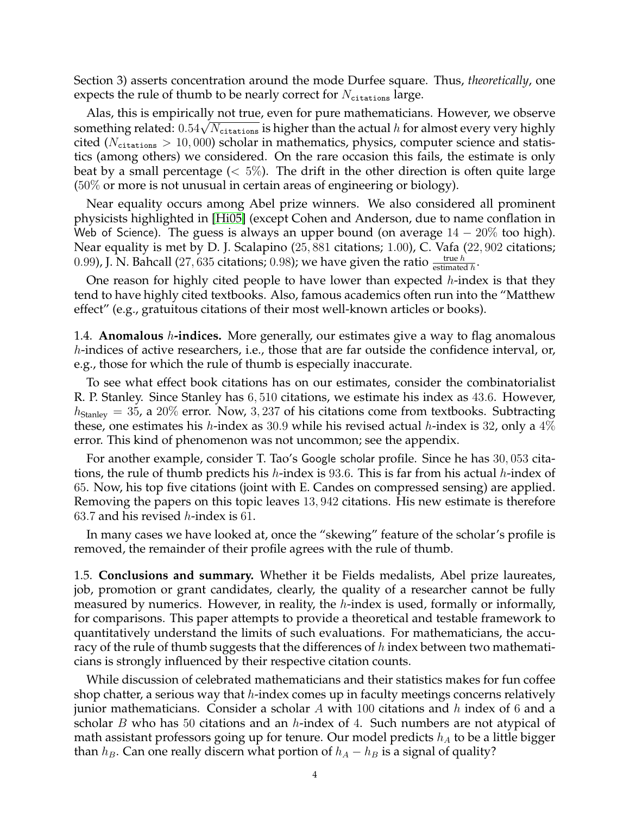Section 3) asserts concentration around the mode Durfee square. Thus, *theoretically*, one expects the rule of thumb to be nearly correct for  $N_{\text{citations}}$  large.

Alas, this is empirically not true, even for pure mathematicians. However, we observe Allas, this is empirically not true, even for pure mathematicians. However, we observe<br>something related:  $0.54\sqrt{N_{\text{citations}}}$  is higher than the actual h for almost every very highly cited ( $N_{\text{citations}} > 10,000$ ) scholar in mathematics, physics, computer science and statistics (among others) we considered. On the rare occasion this fails, the estimate is only beat by a small percentage  $(< 5\%)$ . The drift in the other direction is often quite large (50% or more is not unusual in certain areas of engineering or biology).

Near equality occurs among Abel prize winners. We also considered all prominent physicists highlighted in [\[Hi05\]](#page-9-0) (except Cohen and Anderson, due to name conflation in Web of Science). The guess is always an upper bound (on average  $14-20\%$  too high). Near equality is met by D. J. Scalapino (25, 881 citations; 1.00), C. Vafa (22, 902 citations; 0.99), J. N. Bahcall (27, 635 citations; 0.98); we have given the ratio  $\frac{\text{true } h}{\text{estimated } h}$ .

One reason for highly cited people to have lower than expected  $h$ -index is that they tend to have highly cited textbooks. Also, famous academics often run into the "Matthew effect" (e.g., gratuitous citations of their most well-known articles or books).

1.4. **Anomalous** h**-indices.** More generally, our estimates give a way to flag anomalous h-indices of active researchers, i.e., those that are far outside the confidence interval, or, e.g., those for which the rule of thumb is especially inaccurate.

To see what effect book citations has on our estimates, consider the combinatorialist R. P. Stanley. Since Stanley has 6, 510 citations, we estimate his index as 43.6. However,  $h_{\text{Stanley}} = 35$ , a 20% error. Now, 3, 237 of his citations come from textbooks. Subtracting these, one estimates his *h*-index as 30.9 while his revised actual *h*-index is 32, only a  $4\%$ error. This kind of phenomenon was not uncommon; see the appendix.

For another example, consider T. Tao's Google scholar profile. Since he has 30, 053 citations, the rule of thumb predicts his *h*-index is 93.6. This is far from his actual *h*-index of 65. Now, his top five citations (joint with E. Candes on compressed sensing) are applied. Removing the papers on this topic leaves 13, 942 citations. His new estimate is therefore 63.7 and his revised *h*-index is 61.

In many cases we have looked at, once the "skewing" feature of the scholar's profile is removed, the remainder of their profile agrees with the rule of thumb.

1.5. **Conclusions and summary.** Whether it be Fields medalists, Abel prize laureates, job, promotion or grant candidates, clearly, the quality of a researcher cannot be fully measured by numerics. However, in reality, the h-index is used, formally or informally, for comparisons. This paper attempts to provide a theoretical and testable framework to quantitatively understand the limits of such evaluations. For mathematicians, the accuracy of the rule of thumb suggests that the differences of  $h$  index between two mathematicians is strongly influenced by their respective citation counts.

While discussion of celebrated mathematicians and their statistics makes for fun coffee shop chatter, a serious way that  $h$ -index comes up in faculty meetings concerns relatively junior mathematicians. Consider a scholar  $A$  with 100 citations and  $h$  index of 6 and a scholar  $B$  who has 50 citations and an  $h$ -index of 4. Such numbers are not atypical of math assistant professors going up for tenure. Our model predicts  $h_A$  to be a little bigger than  $h_B$ . Can one really discern what portion of  $h_A - h_B$  is a signal of quality?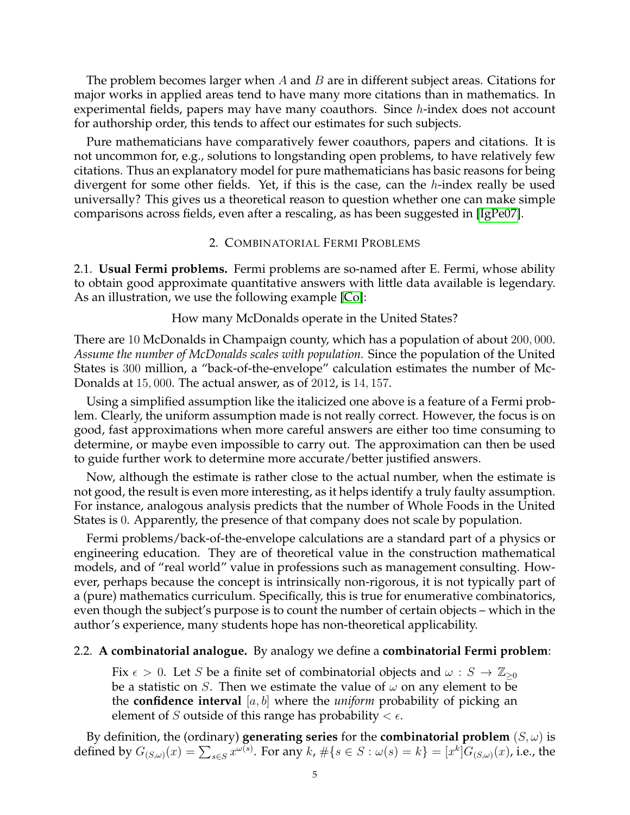The problem becomes larger when  $A$  and  $B$  are in different subject areas. Citations for major works in applied areas tend to have many more citations than in mathematics. In experimental fields, papers may have many coauthors. Since h-index does not account for authorship order, this tends to affect our estimates for such subjects.

Pure mathematicians have comparatively fewer coauthors, papers and citations. It is not uncommon for, e.g., solutions to longstanding open problems, to have relatively few citations. Thus an explanatory model for pure mathematicians has basic reasons for being divergent for some other fields. Yet, if this is the case, can the h-index really be used universally? This gives us a theoretical reason to question whether one can make simple comparisons across fields, even after a rescaling, as has been suggested in [\[IgPe07\]](#page-9-5).

### 2. COMBINATORIAL FERMI PROBLEMS

2.1. **Usual Fermi problems.** Fermi problems are so-named after E. Fermi, whose ability to obtain good approximate quantitative answers with little data available is legendary. As an illustration, we use the following example [\[Co\]](#page-9-6):

# How many McDonalds operate in the United States?

There are 10 McDonalds in Champaign county, which has a population of about 200, 000. *Assume the number of McDonalds scales with population.* Since the population of the United States is 300 million, a "back-of-the-envelope" calculation estimates the number of Mc-Donalds at 15, 000. The actual answer, as of 2012, is 14, 157.

Using a simplified assumption like the italicized one above is a feature of a Fermi problem. Clearly, the uniform assumption made is not really correct. However, the focus is on good, fast approximations when more careful answers are either too time consuming to determine, or maybe even impossible to carry out. The approximation can then be used to guide further work to determine more accurate/better justified answers.

Now, although the estimate is rather close to the actual number, when the estimate is not good, the result is even more interesting, as it helps identify a truly faulty assumption. For instance, analogous analysis predicts that the number of Whole Foods in the United States is 0. Apparently, the presence of that company does not scale by population.

Fermi problems/back-of-the-envelope calculations are a standard part of a physics or engineering education. They are of theoretical value in the construction mathematical models, and of "real world" value in professions such as management consulting. However, perhaps because the concept is intrinsically non-rigorous, it is not typically part of a (pure) mathematics curriculum. Specifically, this is true for enumerative combinatorics, even though the subject's purpose is to count the number of certain objects – which in the author's experience, many students hope has non-theoretical applicability.

# 2.2. **A combinatorial analogue.** By analogy we define a **combinatorial Fermi problem**:

Fix  $\epsilon > 0$ . Let S be a finite set of combinatorial objects and  $\omega : S \to \mathbb{Z}_{\geq 0}$ be a statistic on S. Then we estimate the value of  $\omega$  on any element to be the **confidence interval** [a, b] where the *uniform* probability of picking an element of S outside of this range has probability  $< \epsilon$ .

By definition, the (ordinary) **generating series** for the **combinatorial problem**  $(S, \omega)$  is defined by  $G_{(S,\omega)}(x)=\sum_{s\in S}x^{\omega(s)}.$  For any  $k$ ,  $\#\{s\in S:\omega(s)=k\}=[x^k]G_{(S,\omega)}(x)$ , i.e., the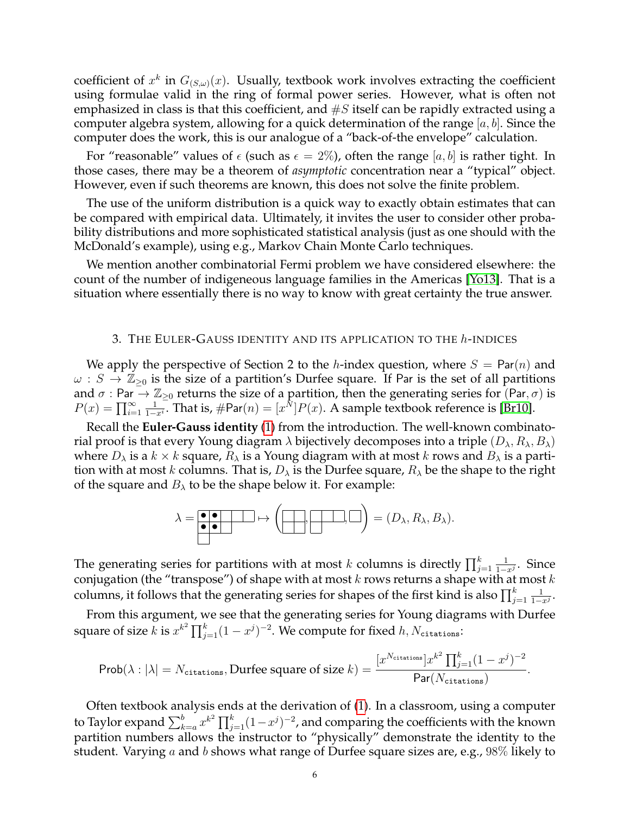coefficient of  $x^k$  in  $G_{(S,\omega)}(x)$ . Usually, textbook work involves extracting the coefficient using formulae valid in the ring of formal power series. However, what is often not emphasized in class is that this coefficient, and  $\#S$  itself can be rapidly extracted using a computer algebra system, allowing for a quick determination of the range  $[a, b]$ . Since the computer does the work, this is our analogue of a "back-of-the envelope" calculation.

For "reasonable" values of  $\epsilon$  (such as  $\epsilon = 2\%$ ), often the range [a, b] is rather tight. In those cases, there may be a theorem of *asymptotic* concentration near a "typical" object. However, even if such theorems are known, this does not solve the finite problem.

The use of the uniform distribution is a quick way to exactly obtain estimates that can be compared with empirical data. Ultimately, it invites the user to consider other probability distributions and more sophisticated statistical analysis (just as one should with the McDonald's example), using e.g., Markov Chain Monte Carlo techniques.

We mention another combinatorial Fermi problem we have considered elsewhere: the count of the number of indigeneous language families in the Americas [\[Yo13\]](#page-9-7). That is a situation where essentially there is no way to know with great certainty the true answer.

#### 3. THE EULER-GAUSS IDENTITY AND ITS APPLICATION TO THE h-INDICES

We apply the perspective of Section 2 to the h-index question, where  $S = \text{Par}(n)$  and  $\omega : S \to \mathbb{Z}_{\geq 0}$  is the size of a partition's Durfee square. If Par is the set of all partitions and  $\sigma$  : Par  $\to \mathbb{Z}_{\geq 0}$  returns the size of a partition, then the generating series for (Par,  $\sigma$ ) is  $P(x) = \prod_{i=1}^{\infty}$ 1  $\frac{1}{1-x^i}$ . That is, #Par $(n) = [x^N]P(x)$ . A sample textbook reference is [\[Br10\]](#page-9-8).

Recall the **Euler-Gauss identity** [\(1\)](#page-1-0) from the introduction. The well-known combinatorial proof is that every Young diagram  $\lambda$  bijectively decomposes into a triple  $(D_{\lambda}, R_{\lambda}, B_{\lambda})$ where  $D_{\lambda}$  is a  $k \times k$  square,  $R_{\lambda}$  is a Young diagram with at most k rows and  $B_{\lambda}$  is a partition with at most k columns. That is,  $D_{\lambda}$  is the Durfee square,  $R_{\lambda}$  be the shape to the right of the square and  $B_\lambda$  to be the shape below it. For example:

$$
\lambda = \boxed{\bullet \bullet} \rightarrow \left(\boxed{\bullet \rightarrow} \boxed{\bullet} \right) = (D_{\lambda}, R_{\lambda}, B_{\lambda}).
$$

The generating series for partitions with at most  $k$  columns is directly  $\prod_{j=1}^k$ 1  $\frac{1}{1-x^j}$ . Since conjugation (the "transpose") of shape with at most  $k$  rows returns a shape with at most  $k$ columns, it follows that the generating series for shapes of the first kind is also  $\prod_{j=1}^k$ 1  $\frac{1}{1-x^j}$ .

From this argument, we see that the generating series for Young diagrams with Durfee square of size  $k$  is  $x^{k^2} \prod_{j=1}^k (1-x^j)^{-2}$ . We compute for fixed  $h, N_{\texttt{citations}}$ :

$$
\text{Prob}(\lambda : |\lambda| = N_{\text{citations}}, \text{Durface square of size } k) = \frac{[x^{N_{\text{citations}}}]x^{k^2} \prod_{j=1}^k (1-x^j)^{-2}}{\text{Par}(N_{\text{citations}})}.
$$

Often textbook analysis ends at the derivation of [\(1\)](#page-1-0). In a classroom, using a computer to Taylor expand  $\sum_{k=a}^b x^{k^2} \prod_{j=1}^k (1-x^j)^{-2}$ , and comparing the coefficients with the known partition numbers allows the instructor to "physically" demonstrate the identity to the student. Varying a and b shows what range of Durfee square sizes are, e.g.,  $98\%$  likely to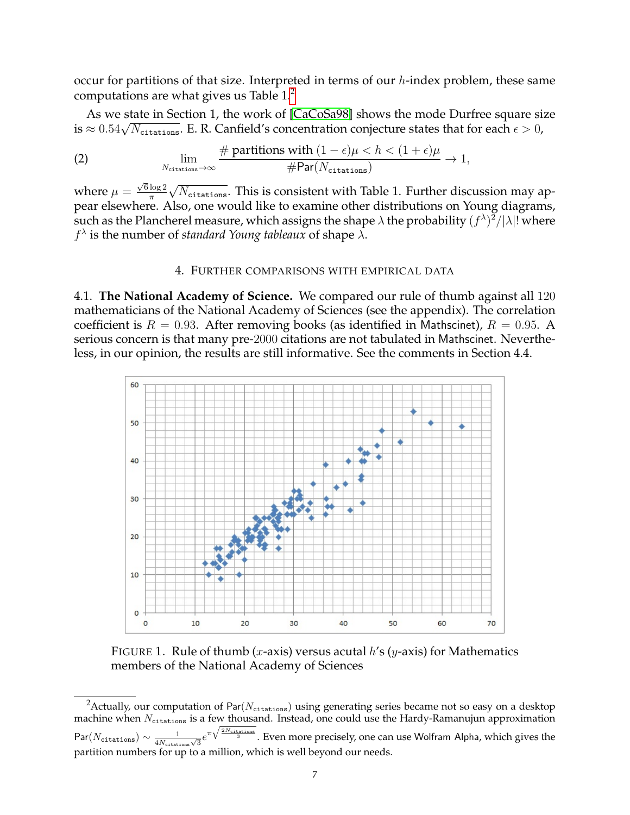occur for partitions of that size. Interpreted in terms of our  $h$ -index problem, these same computations are what gives us Table 1.[2](#page-6-0)

As we state in Section 1, the work of [\[CaCoSa98\]](#page-9-4) shows the mode Durfree square size As we state in Section 1, the work of [CaCoSa98] shows the mode Durfree square st<br>is  $\approx 0.54\sqrt{N_{\text{citations}}}.$  E. R. Canfield's concentration conjecture states that for each  $\epsilon > 0$ ,

(2) 
$$
\lim_{N_{\text{citations}} \to \infty} \frac{\# \text{ partitions with } (1 - \epsilon)\mu < h < (1 + \epsilon)\mu}{\# \text{Par}(N_{\text{citations}})} \to 1,
$$

where  $\mu =$  $\sqrt{6} \log 2$ π √  $N_{\mathtt{citations}}.$  This is consistent with Table 1. Further discussion may appear elsewhere. Also, one would like to examine other distributions on Young diagrams, such as the Plancherel measure, which assigns the shape  $\lambda$  the probability  $(f^\lambda)^2/|\lambda|!$  where  $f^{\lambda}$  is the number of *standard Young tableaux* of shape  $\lambda$ .

### 4. FURTHER COMPARISONS WITH EMPIRICAL DATA

4.1. **The National Academy of Science.** We compared our rule of thumb against all 120 mathematicians of the National Academy of Sciences (see the appendix). The correlation coefficient is  $R = 0.93$ . After removing books (as identified in Mathscinet),  $R = 0.95$ . A serious concern is that many pre-2000 citations are not tabulated in Mathscinet. Nevertheless, in our opinion, the results are still informative. See the comments in Section 4.4.



FIGURE 1. Rule of thumb (x-axis) versus acutal  $h$ 's (y-axis) for Mathematics members of the National Academy of Sciences

<span id="page-6-0"></span><sup>&</sup>lt;sup>2</sup>Actually, our computation of Par( $N_{\text{citations}}$ ) using generating series became not so easy on a desktop machine when  $N_{\text{citations}}$  is a few thousand. Instead, one could use the Hardy-Ramanujun approximation  $\mathsf{Par}(N_\mathsf{citations}) \sim \frac{1}{4N}$  $\frac{1}{4N_\text{citations}\sqrt{3}}e^{\pi\sqrt{\frac{2N_\text{citations}}{3}}}.$  Even more precisely, one can use Wolfram Alpha, which gives the partition numbers for up to a million, which is well beyond our needs.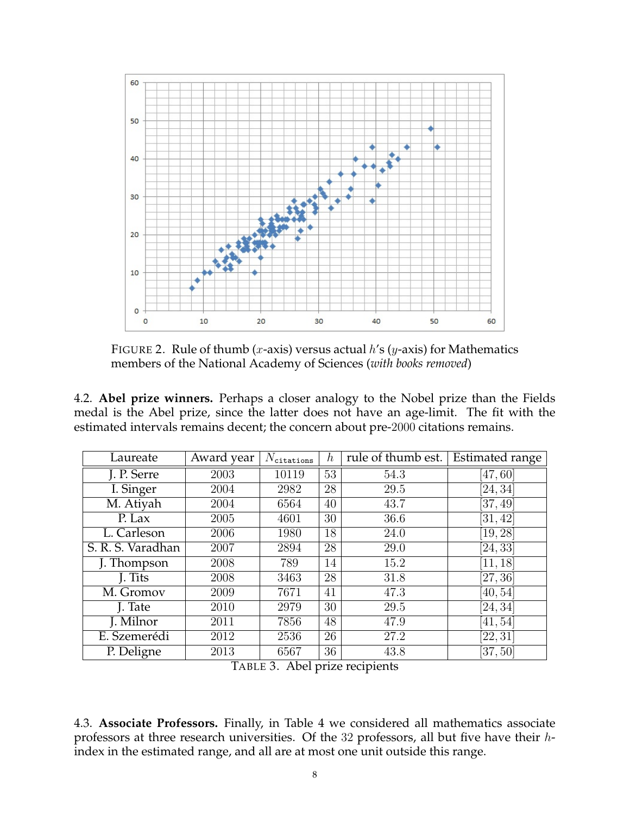

FIGURE 2. Rule of thumb (*x*-axis) versus actual  $h$ 's (*y*-axis) for Mathematics members of the National Academy of Sciences (*with books removed*)

4.2. **Abel prize winners.** Perhaps a closer analogy to the Nobel prize than the Fields medal is the Abel prize, since the latter does not have an age-limit. The fit with the estimated intervals remains decent; the concern about pre-2000 citations remains.

| Laureate          | Award year | $N_{\texttt{citations}}$ | $\hbar$ | rule of thumb est. | <b>Estimated range</b> |
|-------------------|------------|--------------------------|---------|--------------------|------------------------|
| J. P. Serre       | 2003       | 10119                    | 53      | 54.3               | [47, 60]               |
| I. Singer         | 2004       | 2982                     | 28      | 29.5               | [24, 34]               |
| M. Atiyah         | 2004       | 6564                     | 40      | 43.7               | [37, 49]               |
| P. Lax            | 2005       | 4601                     | 30      | 36.6               | [31, 42]               |
| L. Carleson       | 2006       | 1980                     | 18      | 24.0               | [19, 28]               |
| S. R. S. Varadhan | 2007       | 2894                     | 28      | 29.0               | [24, 33]               |
| J. Thompson       | 2008       | 789                      | 14      | 15.2               | [11, 18]               |
| J. Tits           | 2008       | 3463                     | 28      | 31.8               | [27, 36]               |
| M. Gromov         | 2009       | 7671                     | 41      | 47.3               | [40, 54]               |
| J. Tate           | 2010       | 2979                     | 30      | 29.5               | [24, 34]               |
| J. Milnor         | 2011       | 7856                     | 48      | 47.9               | [41, 54]               |
| E. Szemerédi      | 2012       | 2536                     | 26      | 27.2               | [22, 31]               |
| P. Deligne        | 2013       | 6567                     | 36      | 43.8               | [37, 50]               |

TABLE 3. Abel prize recipients

4.3. **Associate Professors.** Finally, in Table 4 we considered all mathematics associate professors at three research universities. Of the 32 professors, all but five have their hindex in the estimated range, and all are at most one unit outside this range.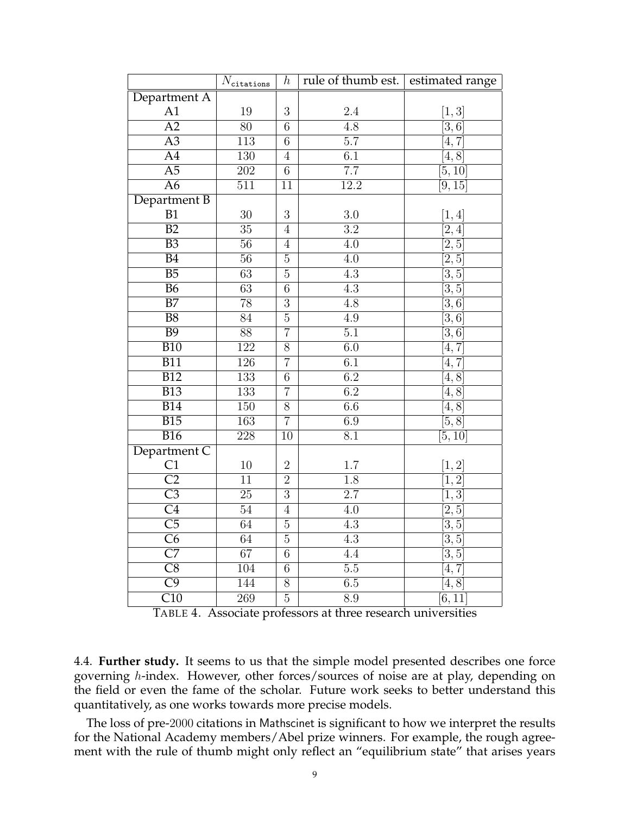|                        | $N_{\rm citations}$ | $\boldsymbol{h}$ | rule of thumb est. estimated range |                    |
|------------------------|---------------------|------------------|------------------------------------|--------------------|
| Department A           |                     |                  |                                    |                    |
| A1                     | 19                  | 3                | $2.4\,$                            | [1,3]              |
| $\overline{A2}$        | 80                  | $\overline{6}$   | 4.8                                | $\overline{[3,6]}$ |
| $\overline{A3}$        | $\overline{113}$    | $\overline{6}$   | $\overline{5.7}$                   | $\overline{[4,7]}$ |
| $\overline{A4}$        | 130                 | $\overline{4}$   | $\overline{6.1}$                   | $\overline{[4,8]}$ |
| $\overline{A5}$        | $\overline{202}$    | $\overline{6}$   | $\overline{7.7}$                   | [5, 10]            |
| A <sub>6</sub>         | $\overline{511}$    | 11               | 12.2                               | [9, 15]            |
| Department B           |                     |                  |                                    |                    |
| B1                     | 30                  | 3                | 3.0                                | [1,4]              |
| $\overline{B2}$        | $\overline{35}$     | $\overline{4}$   | $\overline{3.2}$                   | [2, 4]             |
| $\overline{B3}$        | $\overline{56}$     | $\overline{4}$   | $\overline{4.0}$                   | [2, 5]             |
| $\overline{B4}$        | $\overline{56}$     | $\overline{5}$   | 4.0                                | $\overline{[2,5]}$ |
| $\overline{B5}$        | $\overline{63}$     | $\overline{5}$   | $\overline{4.3}$                   | $\overline{3,5}$   |
| $\overline{B6}$        | $\overline{63}$     | $\overline{6}$   | $\overline{4.3}$                   | $\overline{[3,5]}$ |
| $\overline{B7}$        | 78                  | $\overline{3}$   | $\overline{4.8}$                   | $[\overline{3,6}]$ |
| $\overline{B8}$        | $\overline{84}$     | $\overline{5}$   | 4.9                                | $[\overline{3,6}]$ |
| $\overline{B9}$        | $\overline{88}$     | $\overline{7}$   | $\overline{5.1}$                   | $[\overline{3,6}]$ |
| $\overline{B10}$       | $\overline{122}$    | $\overline{8}$   | 6.0                                | [4, 7]             |
| $\overline{B11}$       | $\overline{126}$    | $\overline{7}$   | 6.1                                | [4, 7]             |
| $\overline{B12}$       | $\overline{133}$    | $\overline{6}$   | $\overline{6.2}$                   | $\overline{[4,8]}$ |
| $\overline{B13}$       | $\overline{133}$    | $\overline{7}$   | $\overline{6.2}$                   | $\overline{[4,8]}$ |
| B14                    | 150                 | $\overline{8}$   | 6.6                                | [4, 8]             |
| B15                    | 163                 | $\overline{7}$   | 6.9                                | [5, 8]             |
| $\overline{B16}$       | $\overline{228}$    | $\overline{10}$  | $\overline{8.1}$                   | [5, 10]            |
| Department C           |                     |                  |                                    |                    |
| C1                     | 10                  | $\overline{2}$   | 1.7                                | [1,2]              |
| $\overline{C2}$        | $\overline{11}$     | $\overline{2}$   | $\overline{1.8}$                   | $\overline{1,2}$   |
| $\overline{C3}$        | $\overline{25}$     | $\overline{3}$   | $\overline{2.7}$                   | $[1,\overline{3}]$ |
| $\overline{C4}$        | $\overline{54}$     | $\overline{4}$   | 4.0                                | [2,5]              |
| $\overline{C5}$        | 64                  | $\overline{5}$   | $\overline{4.3}$                   | [3, 5]             |
| $\overline{\text{C6}}$ | 64                  | $\overline{5}$   | $\overline{4.3}$                   | [3,5]              |
| $\overline{C7}$        | $\overline{67}$     | $\overline{6}$   | $\overline{4.4}$                   | [3,5]              |
| $\overline{\text{C8}}$ | $\overline{104}$    | $\overline{6}$   | $\overline{5.5}$                   | [4,7]              |
| $\overline{C9}$        | 144                 | $\overline{8}$   | 6.5                                | [4, 8]             |
| $\overline{C10}$       | 269                 | $\overline{5}$   | $\overline{8.9}$                   | [6,11]             |

TABLE 4. Associate professors at three research universities

4.4. **Further study.** It seems to us that the simple model presented describes one force governing h-index. However, other forces/sources of noise are at play, depending on the field or even the fame of the scholar. Future work seeks to better understand this quantitatively, as one works towards more precise models.

The loss of pre-2000 citations in Mathscinet is significant to how we interpret the results for the National Academy members/Abel prize winners. For example, the rough agreement with the rule of thumb might only reflect an "equilibrium state" that arises years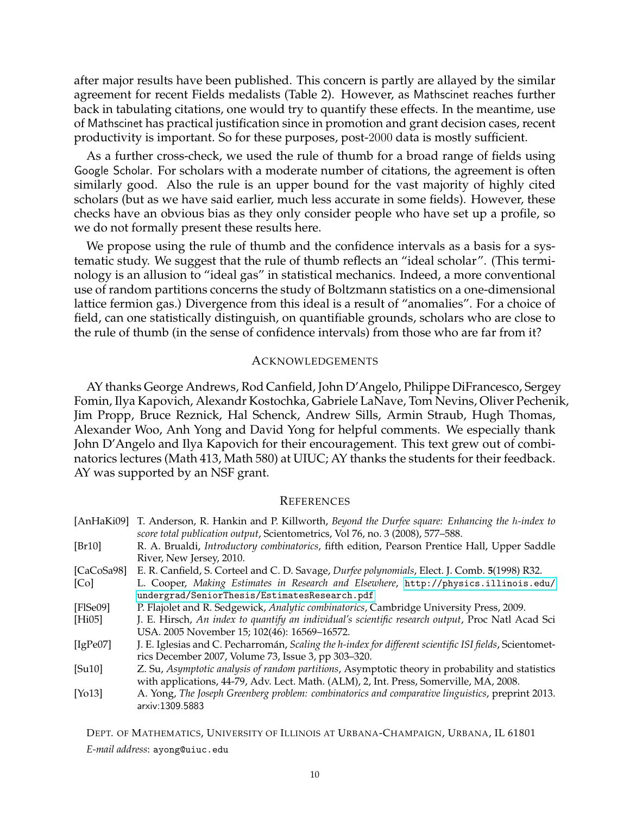after major results have been published. This concern is partly are allayed by the similar agreement for recent Fields medalists (Table 2). However, as Mathscinet reaches further back in tabulating citations, one would try to quantify these effects. In the meantime, use of Mathscinet has practical justification since in promotion and grant decision cases, recent productivity is important. So for these purposes, post-2000 data is mostly sufficient.

As a further cross-check, we used the rule of thumb for a broad range of fields using Google Scholar. For scholars with a moderate number of citations, the agreement is often similarly good. Also the rule is an upper bound for the vast majority of highly cited scholars (but as we have said earlier, much less accurate in some fields). However, these checks have an obvious bias as they only consider people who have set up a profile, so we do not formally present these results here.

We propose using the rule of thumb and the confidence intervals as a basis for a systematic study. We suggest that the rule of thumb reflects an "ideal scholar". (This terminology is an allusion to "ideal gas" in statistical mechanics. Indeed, a more conventional use of random partitions concerns the study of Boltzmann statistics on a one-dimensional lattice fermion gas.) Divergence from this ideal is a result of "anomalies". For a choice of field, can one statistically distinguish, on quantifiable grounds, scholars who are close to the rule of thumb (in the sense of confidence intervals) from those who are far from it?

### ACKNOWLEDGEMENTS

AY thanks George Andrews, Rod Canfield, John D'Angelo, Philippe DiFrancesco, Sergey Fomin, Ilya Kapovich, Alexandr Kostochka, Gabriele LaNave, Tom Nevins, Oliver Pechenik, Jim Propp, Bruce Reznick, Hal Schenck, Andrew Sills, Armin Straub, Hugh Thomas, Alexander Woo, Anh Yong and David Yong for helpful comments. We especially thank John D'Angelo and Ilya Kapovich for their encouragement. This text grew out of combinatorics lectures (Math 413, Math 580) at UIUC; AY thanks the students for their feedback. AY was supported by an NSF grant.

### **REFERENCES**

<span id="page-9-8"></span><span id="page-9-6"></span><span id="page-9-4"></span><span id="page-9-2"></span><span id="page-9-1"></span><span id="page-9-0"></span>

|                     | [AnHaKi09] T. Anderson, R. Hankin and P. Killworth, Beyond the Durfee square: Enhancing the h-index to<br>score total publication output, Scientometrics, Vol 76, no. 3 (2008), 577-588. |
|---------------------|------------------------------------------------------------------------------------------------------------------------------------------------------------------------------------------|
| [Br10]              | R. A. Brualdi, Introductory combinatorics, fifth edition, Pearson Prentice Hall, Upper Saddle                                                                                            |
|                     | River, New Jersey, 2010.                                                                                                                                                                 |
| [CaCoSa98]          | E. R. Canfield, S. Corteel and C. D. Savage, Durfee polynomials, Elect. J. Comb. 5(1998) R32.                                                                                            |
| [Co]                | L. Cooper, Making Estimates in Research and Elsewhere, http://physics.illinois.edu/                                                                                                      |
|                     | undergrad/SeniorThesis/EstimatesResearch.pdf                                                                                                                                             |
| [FlSe09]            | P. Flajolet and R. Sedgewick, Analytic combinatorics, Cambridge University Press, 2009.                                                                                                  |
| [Hi05]              | J. E. Hirsch, An index to quantify an individual's scientific research output, Proc Natl Acad Sci                                                                                        |
|                     | USA. 2005 November 15; 102(46): 16569-16572.                                                                                                                                             |
| [ $IgPe07$ ]        | J. E. Iglesias and C. Pecharromán, Scaling the h-index for different scientific ISI fields, Scientomet-                                                                                  |
|                     | rics December 2007, Volume 73, Issue 3, pp 303-320.                                                                                                                                      |
| [Su10]              | Z. Su, Asymptotic analysis of random partitions, Asymptotic theory in probability and statistics                                                                                         |
|                     | with applications, 44-79, Adv. Lect. Math. (ALM), 2, Int. Press, Somerville, MA, 2008.                                                                                                   |
| [Y <sub>0</sub> 13] | A. Yong, The Joseph Greenberg problem: combinatorics and comparative linguistics, preprint 2013.<br>arxiv:1309.5883                                                                      |

<span id="page-9-7"></span><span id="page-9-5"></span><span id="page-9-3"></span>DEPT. OF MATHEMATICS, UNIVERSITY OF ILLINOIS AT URBANA-CHAMPAIGN, URBANA, IL 61801 *E-mail address*: ayong@uiuc.edu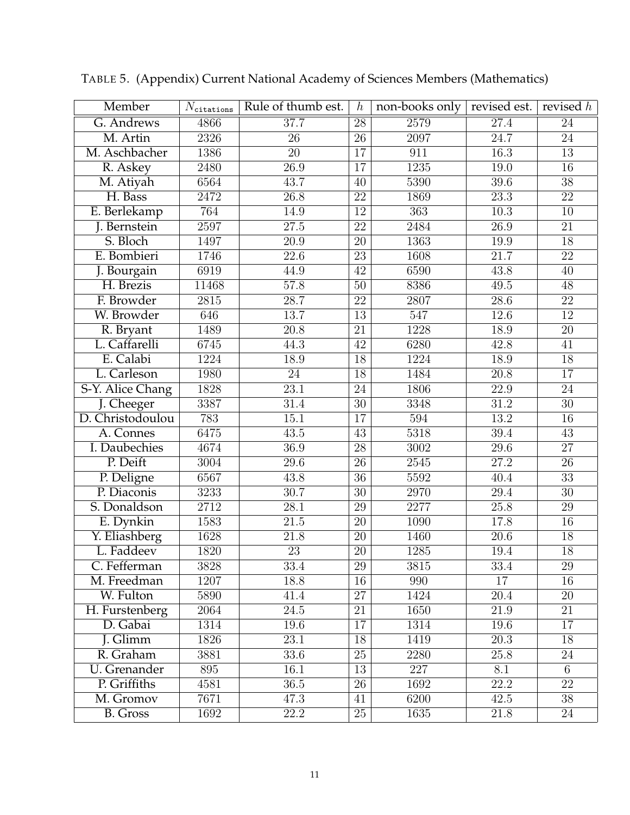| Member           | $N_{\rm citations}$ | Rule of thumb est. | $\boldsymbol{h}$ | non-books only    | revised est.      | revised $h$     |
|------------------|---------------------|--------------------|------------------|-------------------|-------------------|-----------------|
| G. Andrews       | 4866                | 37.7               | $\overline{28}$  | 2579              | $\overline{27.4}$ | $\overline{24}$ |
| M. Artin         | 2326                | $\overline{26}$    | $\overline{26}$  | 2097              | $\overline{24.7}$ | $\overline{24}$ |
| M. Aschbacher    | 1386                | $\overline{20}$    | $\overline{17}$  | 911               | $\overline{16.3}$ | $\overline{13}$ |
| R. Askey         | 2480                | $\overline{26.9}$  | 17               | 1235              | 19.0              | $\overline{16}$ |
| M. Atiyah        | 6564                | 43.7               | $\overline{40}$  | 5390              | $\overline{39.6}$ | $\overline{38}$ |
| H. Bass          | 2472                | $\overline{26.8}$  | $\overline{22}$  | 1869              | $\overline{23.3}$ | $\overline{22}$ |
| E. Berlekamp     | 764                 | 14.9               | $\overline{12}$  | $\overline{363}$  | $\overline{10.3}$ | $\overline{10}$ |
| J. Bernstein     | 2597                | $\overline{27.5}$  | $\overline{22}$  | 2484              | $\overline{26.9}$ | $\overline{21}$ |
| S. Bloch         | 1497                | $\overline{20.9}$  | $\overline{20}$  | 1363              | 19.9              | $\overline{18}$ |
| E. Bombieri      | 1746                | $\overline{22.6}$  | $\overline{23}$  | 1608              | $\overline{21.7}$ | $\overline{22}$ |
| J. Bourgain      | 6919                | 44.9               | $\overline{42}$  | 6590              | 43.8              | $\overline{40}$ |
| H. Brezis        | 11468               | 57.8               | $\overline{50}$  | 8386              | 49.5              | $\overline{48}$ |
| F. Browder       | 2815                | $\overline{28.7}$  | $\overline{22}$  | 2807              | $\overline{28.6}$ | $\overline{22}$ |
| W. Browder       | 646                 | 13.7               | $\overline{13}$  | 547               | 12.6              | $\overline{12}$ |
| R. Bryant        | 1489                | $\overline{20.8}$  | $\overline{21}$  | 1228              | $\overline{18.9}$ | $\overline{20}$ |
| L. Caffarelli    | 6745                | 44.3               | $\overline{42}$  | 6280              | 42.8              | $\overline{41}$ |
| E. Calabi        | 1224                | 18.9               | 18               | 1224              | 18.9              | $\overline{18}$ |
| L. Carleson      | 1980                | $\overline{24}$    | $\overline{18}$  | 1484              | $\overline{20.8}$ | $\overline{17}$ |
| S-Y. Alice Chang | 1828                | $\overline{23.1}$  | $\overline{24}$  | 1806              | 22.9              | $\overline{24}$ |
| J. Cheeger       | 3387                | 31.4               | $\overline{30}$  | 3348              | $\overline{31.2}$ | $\overline{30}$ |
| D. Christodoulou | 783                 | $\overline{15.1}$  | $\overline{17}$  | 594               | $\overline{13.2}$ | 16              |
| A. Connes        | 6475                | $\overline{43.5}$  | $\overline{43}$  | 5318              | $39.4\,$          | $\overline{43}$ |
| I. Daubechies    | 4674                | 36.9               | $\overline{28}$  | $\overline{3002}$ | $\overline{29.6}$ | $\overline{27}$ |
| P. Deift         | 3004                | $\overline{29.6}$  | $\overline{26}$  | 2545              | $\overline{27.2}$ | $\overline{26}$ |
| P. Deligne       | 6567                | 43.8               | $\overline{36}$  | 5592              | 40.4              | $\overline{33}$ |
| P. Diaconis      | 3233                | 30.7               | $\overline{30}$  | 2970              | $\overline{29.4}$ | $\overline{30}$ |
| S. Donaldson     | $\overline{2712}$   | $\overline{28.1}$  | 29               | 2277              | 25.8              | 29              |
| E. Dynkin        | 1583                | $\overline{21.5}$  | $\overline{20}$  | 1090              | 17.8              | $\overline{16}$ |
| Y. Eliashberg    | 1628                | $\overline{21.8}$  | $\overline{20}$  | 1460              | 20.6              | 18              |
| L. Faddeev       | 1820                | $\overline{23}$    | $\overline{20}$  | 1285              | 19.4              | $\overline{18}$ |
| C. Fefferman     | 3828                | 33.4               | 29               | 3815              | 33.4              | 29              |
| M. Freedman      | 1207                | 18.8               | 16               | 990               | 17                | 16              |
| W. Fulton        | 5890                | 41.4               | $\overline{27}$  | 1424              | $\overline{20.4}$ | 20              |
| H. Furstenberg   | 2064                | $24.5\,$           | $\overline{21}$  | 1650              | 21.9              | 21              |
| D. Gabai         | 1314                | 19.6               | 17               | 1314              | 19.6              | 17              |
| <b>J.</b> Glimm  | 1826                | $\overline{23.1}$  | 18               | 1419              | $\overline{20.3}$ | 18              |
| R. Graham        | 3881                | 33.6               | 25               | 2280              | 25.8              | 24              |
| U. Grenander     | 895                 | 16.1               | $\overline{13}$  | $\overline{227}$  | 8.1               | 6               |
| P. Griffiths     | 4581                | 36.5               | 26               | 1692              | 22.2              | $\overline{22}$ |
| M. Gromov        | 7671                | 47.3               | 41               | 6200              | 42.5              | 38              |
| <b>B.</b> Gross  | 1692                | 22.2               | $\overline{25}$  | 1635              | 21.8              | 24              |

TABLE 5. (Appendix) Current National Academy of Sciences Members (Mathematics)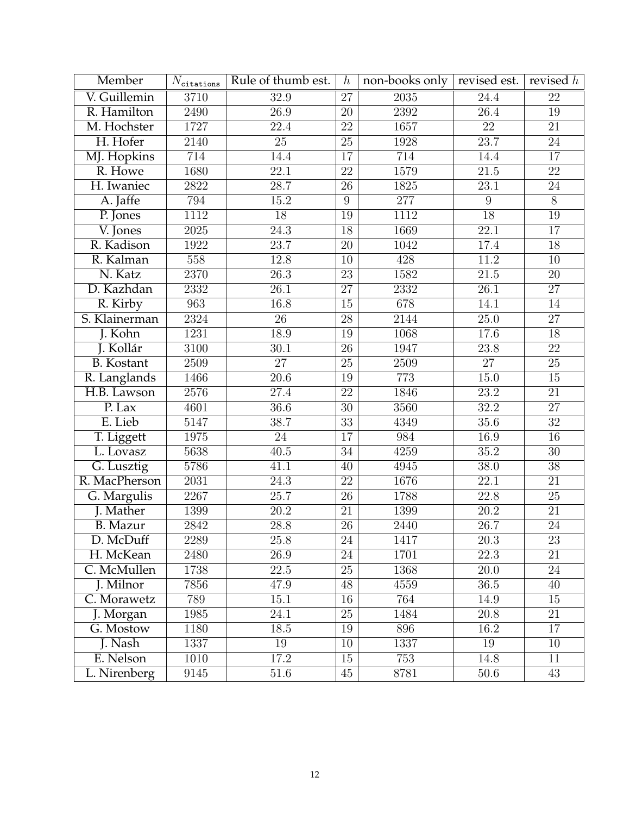| Member            | $N_{\rm citations}$ | Rule of thumb est. | $\boldsymbol{h}$ | non-books only    | revised est.      | revised $h$     |
|-------------------|---------------------|--------------------|------------------|-------------------|-------------------|-----------------|
| V. Guillemin      | 3710                | 32.9               | $\overline{27}$  | $\overline{2035}$ | $\overline{24.4}$ | $\overline{22}$ |
| R. Hamilton       | 2490                | 26.9               | 20               | 2392              | $\overline{26.4}$ | 19              |
| M. Hochster       | 1727                | $\overline{22.4}$  | $\overline{22}$  | 1657              | $\overline{22}$   | $\overline{21}$ |
| H. Hofer          | 2140                | $\overline{25}$    | $\overline{25}$  | 1928              | 23.7              | $\overline{24}$ |
| MJ. Hopkins       | 714                 | 14.4               | $\overline{17}$  | 714               | 14.4              | $\overline{17}$ |
| R. Howe           | 1680                | $\overline{22.1}$  | $\overline{22}$  | 1579              | $\overline{21.5}$ | $\overline{22}$ |
| H. Iwaniec        | 2822                | $\overline{28.7}$  | $\overline{26}$  | 1825              | 23.1              | $\overline{24}$ |
| A. Jaffe          | 794                 | 15.2               | $\overline{9}$   | $\overline{277}$  | $\overline{9}$    | $\overline{8}$  |
| P. Jones          | 1112                | $\overline{18}$    | $\overline{19}$  | 1112              | $\overline{18}$   | $\overline{19}$ |
| V. Jones          | $\overline{2025}$   | $\overline{24.3}$  | 18               | 1669              | $\overline{22.1}$ | $\overline{17}$ |
| R. Kadison        | 1922                | 23.7               | $\overline{20}$  | 1042              | 17.4              | $\overline{18}$ |
| R. Kalman         | 558                 | 12.8               | $\overline{10}$  | 428               | 11.2              | $\overline{10}$ |
| N. Katz           | 2370                | $\overline{26.3}$  | $\overline{23}$  | 1582              | $\overline{21.5}$ | $\overline{20}$ |
| D. Kazhdan        | 2332                | $\overline{26.1}$  | $\overline{27}$  | 2332              | $\overline{26.1}$ | $\overline{27}$ |
| R. Kirby          | 963                 | $\overline{16.8}$  | 15               | 678               | 14.1              | 14              |
| S. Klainerman     | 2324                | $\overline{26}$    | $\overline{28}$  | 2144              | $\overline{25.0}$ | $\overline{27}$ |
| J. Kohn           | 1231                | 18.9               | $\overline{19}$  | 1068              | 17.6              | 18              |
| J. Kollár         | $\overline{3100}$   | $\overline{30.1}$  | $\overline{26}$  | 1947              | $\overline{23.8}$ | $\overline{22}$ |
| <b>B.</b> Kostant | 2509                | 27                 | $\overline{25}$  | $\overline{2509}$ | $\overline{27}$   | $\overline{25}$ |
| R. Langlands      | 1466                | $\overline{20.6}$  | 19               | 773               | $\overline{15.0}$ | $15\,$          |
| H.B. Lawson       | 2576                | $\overline{27.4}$  | $\overline{22}$  | 1846              | $\overline{23.2}$ | $\overline{21}$ |
| P. Lax            | 4601                | $\overline{36.6}$  | $\overline{30}$  | 3560              | 32.2              | $\overline{27}$ |
| E. Lieb           | 5147                | 38.7               | $\overline{33}$  | 4349              | 35.6              | $\overline{32}$ |
| T. Liggett        | 1975                | $\overline{24}$    | $\overline{17}$  | 984               | $\overline{16.9}$ | $\overline{16}$ |
| L. Lovasz         | 5638                | $\overline{40.5}$  | $\overline{34}$  | 4259              | $\overline{35.2}$ | $\overline{30}$ |
| G. Lusztig        | 5786                | 41.1               | $\overline{40}$  | 4945              | $\overline{38.0}$ | $\overline{38}$ |
| R. MacPherson     | $\overline{2031}$   | $\overline{24.3}$  | $\overline{22}$  | 1676              | $\overline{22.1}$ | $\overline{21}$ |
| G. Margulis       | 2267                | $\overline{25.7}$  | $\overline{26}$  | 1788              | $\overline{22.8}$ | $\overline{25}$ |
| J. Mather         | 1399                | $\overline{20.2}$  | $\overline{21}$  | 1399              | $\overline{20.2}$ | $\overline{21}$ |
| <b>B.</b> Mazur   | 2842                | 28.8               | $\overline{26}$  | 2440              | 26.7              | 24              |
| D. McDuff         | 2289                | $\overline{25.8}$  | $\overline{24}$  | 1417              | $\overline{20.3}$ | $\overline{23}$ |
| H. McKean         | 2480                | 26.9               | $\overline{24}$  | 1701              | 22.3              | 21              |
| C. McMullen       | 1738                | 22.5               | 25               | 1368              | 20.0              | 24              |
| J. Milnor         | 7856                | 47.9               | 48               | 4559              | $\overline{36.5}$ | 40              |
| C. Morawetz       | 789                 | 15.1               | 16               | 764               | 14.9              | 15              |
| J. Morgan         | 1985                | 24.1               | $\overline{25}$  | 1484              | 20.8              | 21              |
| G. Mostow         | 1180                | 18.5               | 19               | 896               | 16.2              | 17              |
| J. Nash           | 1337                | 19                 | 10               | 1337              | 19                | 10              |
| E. Nelson         | 1010                | 17.2               | $\overline{15}$  | 753               | 14.8              | $\overline{11}$ |
| L. Nirenberg      | 9145                | 51.6               | 45               | 8781              | 50.6              | 43              |